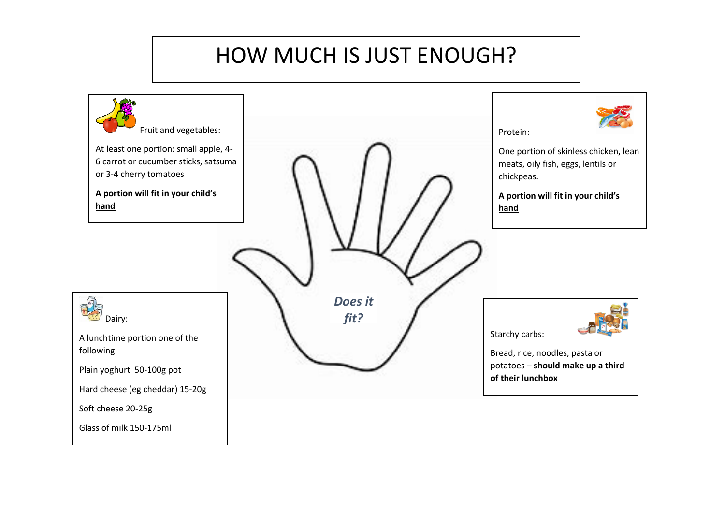# HOW MUCH IS JUST ENOUGH?